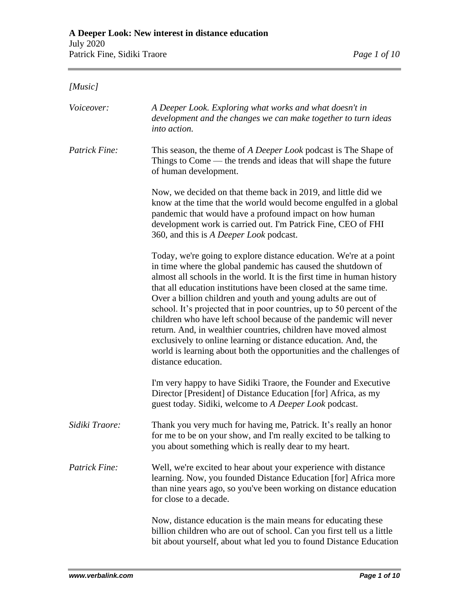## *[Music]*

| Voiceover:     | A Deeper Look. Exploring what works and what doesn't in<br>development and the changes we can make together to turn ideas<br>into action.                                                                                                                                                                                                                                                                                                                                                                                                                                                                                                                                                                                             |
|----------------|---------------------------------------------------------------------------------------------------------------------------------------------------------------------------------------------------------------------------------------------------------------------------------------------------------------------------------------------------------------------------------------------------------------------------------------------------------------------------------------------------------------------------------------------------------------------------------------------------------------------------------------------------------------------------------------------------------------------------------------|
| Patrick Fine:  | This season, the theme of A Deeper Look podcast is The Shape of<br>Things to Come — the trends and ideas that will shape the future<br>of human development.                                                                                                                                                                                                                                                                                                                                                                                                                                                                                                                                                                          |
|                | Now, we decided on that theme back in 2019, and little did we<br>know at the time that the world would become engulfed in a global<br>pandemic that would have a profound impact on how human<br>development work is carried out. I'm Patrick Fine, CEO of FHI<br>360, and this is A Deeper Look podcast.                                                                                                                                                                                                                                                                                                                                                                                                                             |
|                | Today, we're going to explore distance education. We're at a point<br>in time where the global pandemic has caused the shutdown of<br>almost all schools in the world. It is the first time in human history<br>that all education institutions have been closed at the same time.<br>Over a billion children and youth and young adults are out of<br>school. It's projected that in poor countries, up to 50 percent of the<br>children who have left school because of the pandemic will never<br>return. And, in wealthier countries, children have moved almost<br>exclusively to online learning or distance education. And, the<br>world is learning about both the opportunities and the challenges of<br>distance education. |
|                | I'm very happy to have Sidiki Traore, the Founder and Executive<br>Director [President] of Distance Education [for] Africa, as my<br>guest today. Sidiki, welcome to A Deeper Look podcast.                                                                                                                                                                                                                                                                                                                                                                                                                                                                                                                                           |
| Sidiki Traore: | Thank you very much for having me, Patrick. It's really an honor<br>for me to be on your show, and I'm really excited to be talking to<br>you about something which is really dear to my heart.                                                                                                                                                                                                                                                                                                                                                                                                                                                                                                                                       |
| Patrick Fine:  | Well, we're excited to hear about your experience with distance<br>learning. Now, you founded Distance Education [for] Africa more<br>than nine years ago, so you've been working on distance education<br>for close to a decade.                                                                                                                                                                                                                                                                                                                                                                                                                                                                                                     |
|                | Now, distance education is the main means for educating these<br>billion children who are out of school. Can you first tell us a little<br>bit about yourself, about what led you to found Distance Education                                                                                                                                                                                                                                                                                                                                                                                                                                                                                                                         |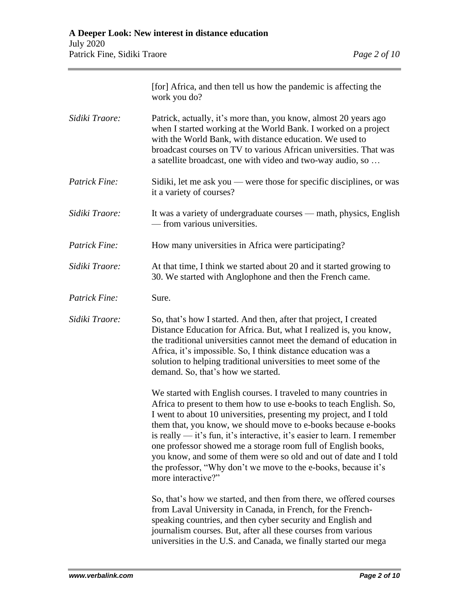|                | [for] Africa, and then tell us how the pandemic is affecting the<br>work you do?                                                                                                                                                                                                                                                                                                                                                                                                                                                                                                           |
|----------------|--------------------------------------------------------------------------------------------------------------------------------------------------------------------------------------------------------------------------------------------------------------------------------------------------------------------------------------------------------------------------------------------------------------------------------------------------------------------------------------------------------------------------------------------------------------------------------------------|
| Sidiki Traore: | Patrick, actually, it's more than, you know, almost 20 years ago<br>when I started working at the World Bank. I worked on a project<br>with the World Bank, with distance education. We used to<br>broadcast courses on TV to various African universities. That was<br>a satellite broadcast, one with video and two-way audio, so                                                                                                                                                                                                                                                        |
| Patrick Fine:  | Sidiki, let me ask you — were those for specific disciplines, or was<br>it a variety of courses?                                                                                                                                                                                                                                                                                                                                                                                                                                                                                           |
| Sidiki Traore: | It was a variety of undergraduate courses — math, physics, English<br>— from various universities.                                                                                                                                                                                                                                                                                                                                                                                                                                                                                         |
| Patrick Fine:  | How many universities in Africa were participating?                                                                                                                                                                                                                                                                                                                                                                                                                                                                                                                                        |
| Sidiki Traore: | At that time, I think we started about 20 and it started growing to<br>30. We started with Anglophone and then the French came.                                                                                                                                                                                                                                                                                                                                                                                                                                                            |
| Patrick Fine:  | Sure.                                                                                                                                                                                                                                                                                                                                                                                                                                                                                                                                                                                      |
| Sidiki Traore: | So, that's how I started. And then, after that project, I created<br>Distance Education for Africa. But, what I realized is, you know,<br>the traditional universities cannot meet the demand of education in<br>Africa, it's impossible. So, I think distance education was a<br>solution to helping traditional universities to meet some of the<br>demand. So, that's how we started.                                                                                                                                                                                                   |
|                | We started with English courses. I traveled to many countries in<br>Africa to present to them how to use e-books to teach English. So,<br>I went to about 10 universities, presenting my project, and I told<br>them that, you know, we should move to e-books because e-books<br>is really $-$ it's fun, it's interactive, it's easier to learn. I remember<br>one professor showed me a storage room full of English books,<br>you know, and some of them were so old and out of date and I told<br>the professor, "Why don't we move to the e-books, because it's<br>more interactive?" |
|                | So, that's how we started, and then from there, we offered courses<br>from Laval University in Canada, in French, for the French-<br>speaking countries, and then cyber security and English and<br>journalism courses. But, after all these courses from various<br>universities in the U.S. and Canada, we finally started our mega                                                                                                                                                                                                                                                      |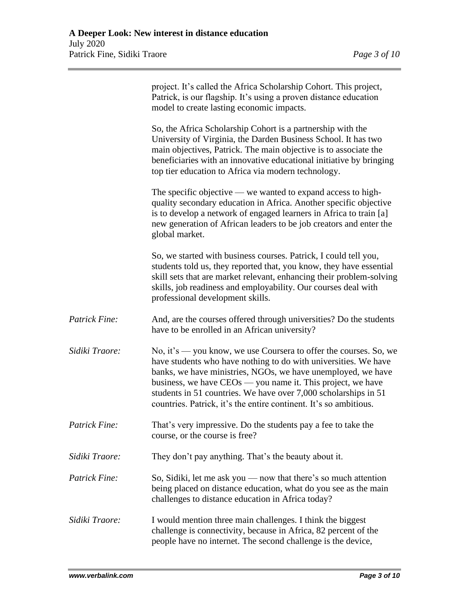|                | project. It's called the Africa Scholarship Cohort. This project,<br>Patrick, is our flagship. It's using a proven distance education<br>model to create lasting economic impacts.                                                                                                                                                                                                                            |
|----------------|---------------------------------------------------------------------------------------------------------------------------------------------------------------------------------------------------------------------------------------------------------------------------------------------------------------------------------------------------------------------------------------------------------------|
|                | So, the Africa Scholarship Cohort is a partnership with the<br>University of Virginia, the Darden Business School. It has two<br>main objectives, Patrick. The main objective is to associate the<br>beneficiaries with an innovative educational initiative by bringing<br>top tier education to Africa via modern technology.                                                                               |
|                | The specific objective — we wanted to expand access to high-<br>quality secondary education in Africa. Another specific objective<br>is to develop a network of engaged learners in Africa to train [a]<br>new generation of African leaders to be job creators and enter the<br>global market.                                                                                                               |
|                | So, we started with business courses. Patrick, I could tell you,<br>students told us, they reported that, you know, they have essential<br>skill sets that are market relevant, enhancing their problem-solving<br>skills, job readiness and employability. Our courses deal with<br>professional development skills.                                                                                         |
| Patrick Fine:  | And, are the courses offered through universities? Do the students<br>have to be enrolled in an African university?                                                                                                                                                                                                                                                                                           |
| Sidiki Traore: | No, it's — you know, we use Coursera to offer the courses. So, we<br>have students who have nothing to do with universities. We have<br>banks, we have ministries, NGOs, we have unemployed, we have<br>business, we have $CEOs$ — you name it. This project, we have<br>students in 51 countries. We have over 7,000 scholarships in 51<br>countries. Patrick, it's the entire continent. It's so ambitious. |
| Patrick Fine:  | That's very impressive. Do the students pay a fee to take the<br>course, or the course is free?                                                                                                                                                                                                                                                                                                               |
| Sidiki Traore: | They don't pay anything. That's the beauty about it.                                                                                                                                                                                                                                                                                                                                                          |
| Patrick Fine:  | So, Sidiki, let me ask you — now that there's so much attention<br>being placed on distance education, what do you see as the main<br>challenges to distance education in Africa today?                                                                                                                                                                                                                       |
| Sidiki Traore: | I would mention three main challenges. I think the biggest<br>challenge is connectivity, because in Africa, 82 percent of the<br>people have no internet. The second challenge is the device,                                                                                                                                                                                                                 |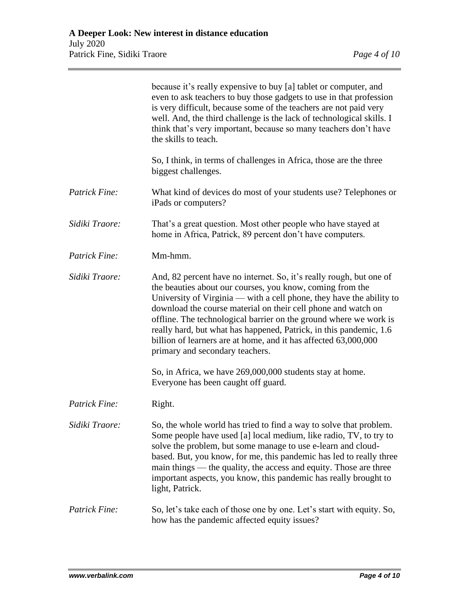|                      | because it's really expensive to buy [a] tablet or computer, and<br>even to ask teachers to buy those gadgets to use in that profession<br>is very difficult, because some of the teachers are not paid very<br>well. And, the third challenge is the lack of technological skills. I<br>think that's very important, because so many teachers don't have<br>the skills to teach.                                                                                                                                          |
|----------------------|----------------------------------------------------------------------------------------------------------------------------------------------------------------------------------------------------------------------------------------------------------------------------------------------------------------------------------------------------------------------------------------------------------------------------------------------------------------------------------------------------------------------------|
|                      | So, I think, in terms of challenges in Africa, those are the three<br>biggest challenges.                                                                                                                                                                                                                                                                                                                                                                                                                                  |
| Patrick Fine:        | What kind of devices do most of your students use? Telephones or<br>iPads or computers?                                                                                                                                                                                                                                                                                                                                                                                                                                    |
| Sidiki Traore:       | That's a great question. Most other people who have stayed at<br>home in Africa, Patrick, 89 percent don't have computers.                                                                                                                                                                                                                                                                                                                                                                                                 |
| Patrick Fine:        | Mm-hmm.                                                                                                                                                                                                                                                                                                                                                                                                                                                                                                                    |
| Sidiki Traore:       | And, 82 percent have no internet. So, it's really rough, but one of<br>the beauties about our courses, you know, coming from the<br>University of Virginia — with a cell phone, they have the ability to<br>download the course material on their cell phone and watch on<br>offline. The technological barrier on the ground where we work is<br>really hard, but what has happened, Patrick, in this pandemic, 1.6<br>billion of learners are at home, and it has affected 63,000,000<br>primary and secondary teachers. |
|                      | So, in Africa, we have 269,000,000 students stay at home.<br>Everyone has been caught off guard.                                                                                                                                                                                                                                                                                                                                                                                                                           |
| Patrick Fine:        | Right.                                                                                                                                                                                                                                                                                                                                                                                                                                                                                                                     |
| Sidiki Traore:       | So, the whole world has tried to find a way to solve that problem.<br>Some people have used [a] local medium, like radio, TV, to try to<br>solve the problem, but some manage to use e-learn and cloud-<br>based. But, you know, for me, this pandemic has led to really three<br>main things — the quality, the access and equity. Those are three<br>important aspects, you know, this pandemic has really brought to<br>light, Patrick.                                                                                 |
| <b>Patrick Fine:</b> | So, let's take each of those one by one. Let's start with equity. So,<br>how has the pandemic affected equity issues?                                                                                                                                                                                                                                                                                                                                                                                                      |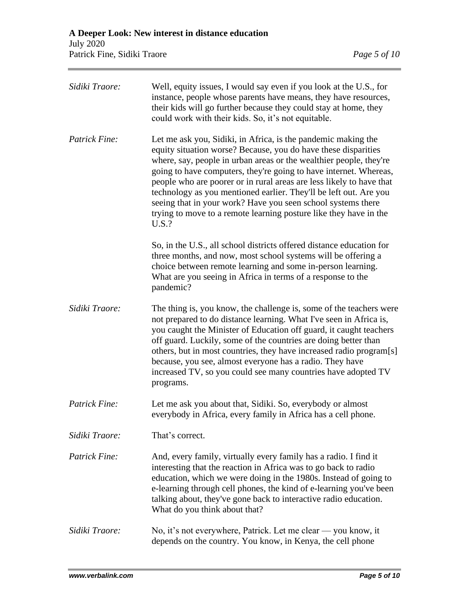| Sidiki Traore:       | Well, equity issues, I would say even if you look at the U.S., for<br>instance, people whose parents have means, they have resources,<br>their kids will go further because they could stay at home, they<br>could work with their kids. So, it's not equitable.                                                                                                                                                                                                                                                                                                      |
|----------------------|-----------------------------------------------------------------------------------------------------------------------------------------------------------------------------------------------------------------------------------------------------------------------------------------------------------------------------------------------------------------------------------------------------------------------------------------------------------------------------------------------------------------------------------------------------------------------|
| Patrick Fine:        | Let me ask you, Sidiki, in Africa, is the pandemic making the<br>equity situation worse? Because, you do have these disparities<br>where, say, people in urban areas or the wealthier people, they're<br>going to have computers, they're going to have internet. Whereas,<br>people who are poorer or in rural areas are less likely to have that<br>technology as you mentioned earlier. They'll be left out. Are you<br>seeing that in your work? Have you seen school systems there<br>trying to move to a remote learning posture like they have in the<br>U.S.? |
|                      | So, in the U.S., all school districts offered distance education for<br>three months, and now, most school systems will be offering a<br>choice between remote learning and some in-person learning.<br>What are you seeing in Africa in terms of a response to the<br>pandemic?                                                                                                                                                                                                                                                                                      |
| Sidiki Traore:       | The thing is, you know, the challenge is, some of the teachers were<br>not prepared to do distance learning. What I've seen in Africa is,<br>you caught the Minister of Education off guard, it caught teachers<br>off guard. Luckily, some of the countries are doing better than<br>others, but in most countries, they have increased radio program[s]<br>because, you see, almost everyone has a radio. They have<br>increased TV, so you could see many countries have adopted TV<br>programs.                                                                   |
| Patrick Fine:        | Let me ask you about that, Sidiki. So, everybody or almost<br>everybody in Africa, every family in Africa has a cell phone.                                                                                                                                                                                                                                                                                                                                                                                                                                           |
| Sidiki Traore:       | That's correct.                                                                                                                                                                                                                                                                                                                                                                                                                                                                                                                                                       |
| <b>Patrick Fine:</b> | And, every family, virtually every family has a radio. I find it<br>interesting that the reaction in Africa was to go back to radio<br>education, which we were doing in the 1980s. Instead of going to<br>e-learning through cell phones, the kind of e-learning you've been<br>talking about, they've gone back to interactive radio education.<br>What do you think about that?                                                                                                                                                                                    |
| Sidiki Traore:       | No, it's not everywhere, Patrick. Let me clear — you know, it<br>depends on the country. You know, in Kenya, the cell phone                                                                                                                                                                                                                                                                                                                                                                                                                                           |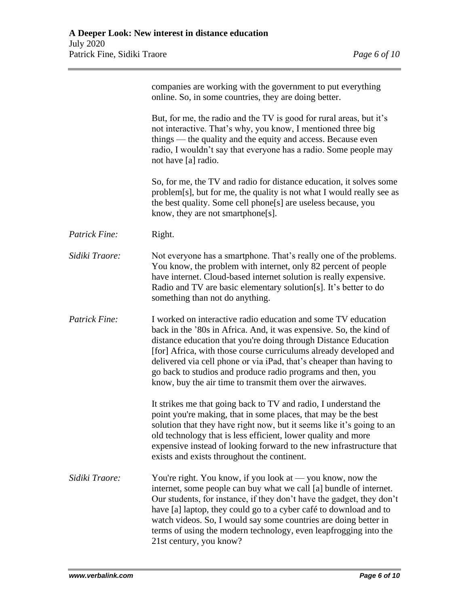|                | companies are working with the government to put everything<br>online. So, in some countries, they are doing better.                                                                                                                                                                                                                                                                                                                                                            |
|----------------|---------------------------------------------------------------------------------------------------------------------------------------------------------------------------------------------------------------------------------------------------------------------------------------------------------------------------------------------------------------------------------------------------------------------------------------------------------------------------------|
|                | But, for me, the radio and the TV is good for rural areas, but it's<br>not interactive. That's why, you know, I mentioned three big<br>things — the quality and the equity and access. Because even<br>radio, I wouldn't say that everyone has a radio. Some people may<br>not have [a] radio.                                                                                                                                                                                  |
|                | So, for me, the TV and radio for distance education, it solves some<br>problem[s], but for me, the quality is not what I would really see as<br>the best quality. Some cell phone[s] are useless because, you<br>know, they are not smartphone[s].                                                                                                                                                                                                                              |
| Patrick Fine:  | Right.                                                                                                                                                                                                                                                                                                                                                                                                                                                                          |
| Sidiki Traore: | Not everyone has a smartphone. That's really one of the problems.<br>You know, the problem with internet, only 82 percent of people<br>have internet. Cloud-based internet solution is really expensive.<br>Radio and TV are basic elementary solution[s]. It's better to do<br>something than not do anything.                                                                                                                                                                 |
| Patrick Fine:  | I worked on interactive radio education and some TV education<br>back in the '80s in Africa. And, it was expensive. So, the kind of<br>distance education that you're doing through Distance Education<br>[for] Africa, with those course curriculums already developed and<br>delivered via cell phone or via iPad, that's cheaper than having to<br>go back to studios and produce radio programs and then, you<br>know, buy the air time to transmit them over the airwaves. |
|                | It strikes me that going back to TV and radio, I understand the<br>point you're making, that in some places, that may be the best<br>solution that they have right now, but it seems like it's going to an<br>old technology that is less efficient, lower quality and more<br>expensive instead of looking forward to the new infrastructure that<br>exists and exists throughout the continent.                                                                               |
| Sidiki Traore: | You're right. You know, if you look at $-$ you know, now the<br>internet, some people can buy what we call [a] bundle of internet.<br>Our students, for instance, if they don't have the gadget, they don't<br>have [a] laptop, they could go to a cyber café to download and to<br>watch videos. So, I would say some countries are doing better in<br>terms of using the modern technology, even leapfrogging into the<br>21st century, you know?                             |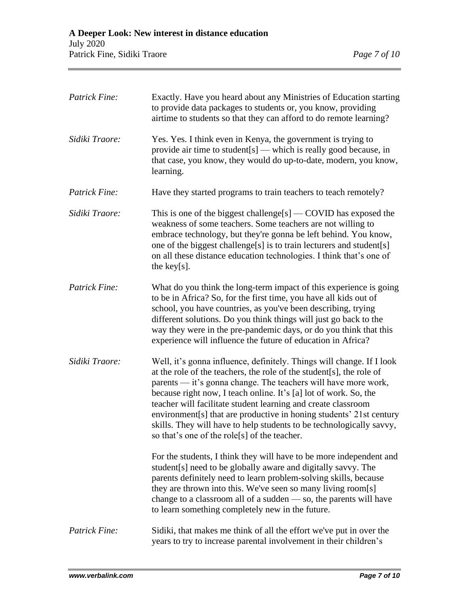| Patrick Fine:        | Exactly. Have you heard about any Ministries of Education starting<br>to provide data packages to students or, you know, providing<br>airtime to students so that they can afford to do remote learning?                                                                                                                                                                                                                                                                                                                                            |
|----------------------|-----------------------------------------------------------------------------------------------------------------------------------------------------------------------------------------------------------------------------------------------------------------------------------------------------------------------------------------------------------------------------------------------------------------------------------------------------------------------------------------------------------------------------------------------------|
| Sidiki Traore:       | Yes. Yes. I think even in Kenya, the government is trying to<br>provide air time to student $[s]$ — which is really good because, in<br>that case, you know, they would do up-to-date, modern, you know,<br>learning.                                                                                                                                                                                                                                                                                                                               |
| <b>Patrick Fine:</b> | Have they started programs to train teachers to teach remotely?                                                                                                                                                                                                                                                                                                                                                                                                                                                                                     |
| Sidiki Traore:       | This is one of the biggest challenge[s] $-$ COVID has exposed the<br>weakness of some teachers. Some teachers are not willing to<br>embrace technology, but they're gonna be left behind. You know,<br>one of the biggest challenge[s] is to train lecturers and student[s]<br>on all these distance education technologies. I think that's one of<br>the key[s].                                                                                                                                                                                   |
| <b>Patrick Fine:</b> | What do you think the long-term impact of this experience is going<br>to be in Africa? So, for the first time, you have all kids out of<br>school, you have countries, as you've been describing, trying<br>different solutions. Do you think things will just go back to the<br>way they were in the pre-pandemic days, or do you think that this<br>experience will influence the future of education in Africa?                                                                                                                                  |
| Sidiki Traore:       | Well, it's gonna influence, definitely. Things will change. If I look<br>at the role of the teachers, the role of the student[s], the role of<br>parents — it's gonna change. The teachers will have more work,<br>because right now, I teach online. It's [a] lot of work. So, the<br>teacher will facilitate student learning and create classroom<br>environment[s] that are productive in honing students' 21st century<br>skills. They will have to help students to be technologically savvy,<br>so that's one of the role[s] of the teacher. |
|                      | For the students, I think they will have to be more independent and<br>student [s] need to be globally aware and digitally savvy. The<br>parents definitely need to learn problem-solving skills, because<br>they are thrown into this. We've seen so many living room[s]<br>change to a classroom all of a sudden - so, the parents will have<br>to learn something completely new in the future.                                                                                                                                                  |
| Patrick Fine:        | Sidiki, that makes me think of all the effort we've put in over the<br>years to try to increase parental involvement in their children's                                                                                                                                                                                                                                                                                                                                                                                                            |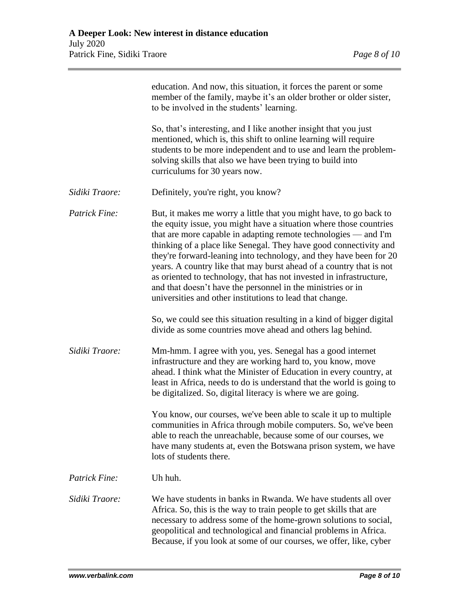|                      | education. And now, this situation, it forces the parent or some<br>member of the family, maybe it's an older brother or older sister,<br>to be involved in the students' learning.                                                                                                                                                                                                                                                                                                                                                                                                                                               |
|----------------------|-----------------------------------------------------------------------------------------------------------------------------------------------------------------------------------------------------------------------------------------------------------------------------------------------------------------------------------------------------------------------------------------------------------------------------------------------------------------------------------------------------------------------------------------------------------------------------------------------------------------------------------|
|                      | So, that's interesting, and I like another insight that you just<br>mentioned, which is, this shift to online learning will require<br>students to be more independent and to use and learn the problem-<br>solving skills that also we have been trying to build into<br>curriculums for 30 years now.                                                                                                                                                                                                                                                                                                                           |
| Sidiki Traore:       | Definitely, you're right, you know?                                                                                                                                                                                                                                                                                                                                                                                                                                                                                                                                                                                               |
| <b>Patrick Fine:</b> | But, it makes me worry a little that you might have, to go back to<br>the equity issue, you might have a situation where those countries<br>that are more capable in adapting remote technologies $-$ and I'm<br>thinking of a place like Senegal. They have good connectivity and<br>they're forward-leaning into technology, and they have been for 20<br>years. A country like that may burst ahead of a country that is not<br>as oriented to technology, that has not invested in infrastructure,<br>and that doesn't have the personnel in the ministries or in<br>universities and other institutions to lead that change. |
|                      | So, we could see this situation resulting in a kind of bigger digital<br>divide as some countries move ahead and others lag behind.                                                                                                                                                                                                                                                                                                                                                                                                                                                                                               |
| Sidiki Traore:       | Mm-hmm. I agree with you, yes. Senegal has a good internet<br>infrastructure and they are working hard to, you know, move<br>ahead. I think what the Minister of Education in every country, at<br>least in Africa, needs to do is understand that the world is going to<br>be digitalized. So, digital literacy is where we are going.                                                                                                                                                                                                                                                                                           |
|                      | You know, our courses, we've been able to scale it up to multiple<br>communities in Africa through mobile computers. So, we've been<br>able to reach the unreachable, because some of our courses, we<br>have many students at, even the Botswana prison system, we have<br>lots of students there.                                                                                                                                                                                                                                                                                                                               |
| Patrick Fine:        | Uh huh.                                                                                                                                                                                                                                                                                                                                                                                                                                                                                                                                                                                                                           |
| Sidiki Traore:       | We have students in banks in Rwanda. We have students all over<br>Africa. So, this is the way to train people to get skills that are<br>necessary to address some of the home-grown solutions to social,<br>geopolitical and technological and financial problems in Africa.<br>Because, if you look at some of our courses, we offer, like, cyber                                                                                                                                                                                                                                                                                |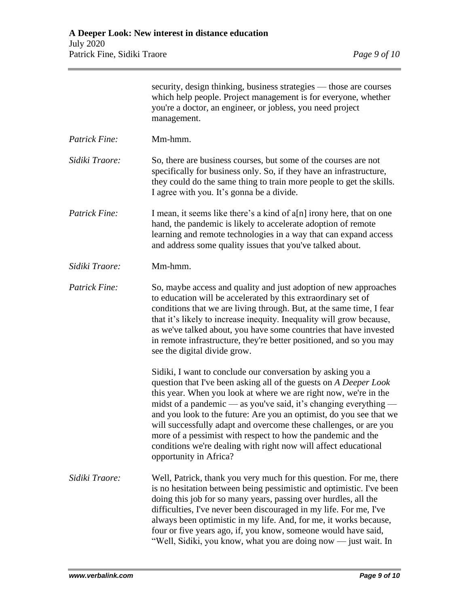|                      | security, design thinking, business strategies — those are courses<br>which help people. Project management is for everyone, whether<br>you're a doctor, an engineer, or jobless, you need project<br>management.                                                                                                                                                                                                                                                                                                                                                                 |
|----------------------|-----------------------------------------------------------------------------------------------------------------------------------------------------------------------------------------------------------------------------------------------------------------------------------------------------------------------------------------------------------------------------------------------------------------------------------------------------------------------------------------------------------------------------------------------------------------------------------|
| Patrick Fine:        | Mm-hmm.                                                                                                                                                                                                                                                                                                                                                                                                                                                                                                                                                                           |
| Sidiki Traore:       | So, there are business courses, but some of the courses are not<br>specifically for business only. So, if they have an infrastructure,<br>they could do the same thing to train more people to get the skills.<br>I agree with you. It's gonna be a divide.                                                                                                                                                                                                                                                                                                                       |
| <b>Patrick Fine:</b> | I mean, it seems like there's a kind of a[n] irony here, that on one<br>hand, the pandemic is likely to accelerate adoption of remote<br>learning and remote technologies in a way that can expand access<br>and address some quality issues that you've talked about.                                                                                                                                                                                                                                                                                                            |
| Sidiki Traore:       | Mm-hmm.                                                                                                                                                                                                                                                                                                                                                                                                                                                                                                                                                                           |
| Patrick Fine:        | So, maybe access and quality and just adoption of new approaches<br>to education will be accelerated by this extraordinary set of<br>conditions that we are living through. But, at the same time, I fear<br>that it's likely to increase inequity. Inequality will grow because,<br>as we've talked about, you have some countries that have invested<br>in remote infrastructure, they're better positioned, and so you may<br>see the digital divide grow.                                                                                                                     |
|                      | Sidiki, I want to conclude our conversation by asking you a<br>question that I've been asking all of the guests on A Deeper Look<br>this year. When you look at where we are right now, we're in the<br>midst of a pandemic - as you've said, it's changing everything -<br>and you look to the future: Are you an optimist, do you see that we<br>will successfully adapt and overcome these challenges, or are you<br>more of a pessimist with respect to how the pandemic and the<br>conditions we're dealing with right now will affect educational<br>opportunity in Africa? |
| Sidiki Traore:       | Well, Patrick, thank you very much for this question. For me, there<br>is no hesitation between being pessimistic and optimistic. I've been<br>doing this job for so many years, passing over hurdles, all the<br>difficulties, I've never been discouraged in my life. For me, I've<br>always been optimistic in my life. And, for me, it works because,<br>four or five years ago, if, you know, someone would have said,<br>"Well, Sidiki, you know, what you are doing now - just wait. In                                                                                    |